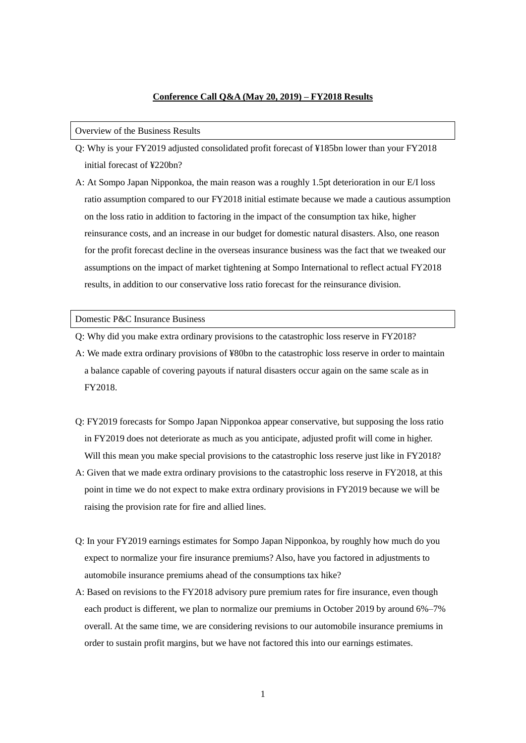## **Conference Call Q&A (May 20, 2019) – FY2018 Results**

## Overview of the Business Results

- Q: Why is your FY2019 adjusted consolidated profit forecast of ¥185bn lower than your FY2018 initial forecast of ¥220bn?
- A: At Sompo Japan Nipponkoa, the main reason was a roughly 1.5pt deterioration in our E/I loss ratio assumption compared to our FY2018 initial estimate because we made a cautious assumption on the loss ratio in addition to factoring in the impact of the consumption tax hike, higher reinsurance costs, and an increase in our budget for domestic natural disasters. Also, one reason for the profit forecast decline in the overseas insurance business was the fact that we tweaked our assumptions on the impact of market tightening at Sompo International to reflect actual FY2018 results, in addition to our conservative loss ratio forecast for the reinsurance division.

## Domestic P&C Insurance Business

- Q: Why did you make extra ordinary provisions to the catastrophic loss reserve in FY2018?
- A: We made extra ordinary provisions of ¥80bn to the catastrophic loss reserve in order to maintain a balance capable of covering payouts if natural disasters occur again on the same scale as in FY2018.
- Q: FY2019 forecasts for Sompo Japan Nipponkoa appear conservative, but supposing the loss ratio in FY2019 does not deteriorate as much as you anticipate, adjusted profit will come in higher. Will this mean you make special provisions to the catastrophic loss reserve just like in FY2018?
- A: Given that we made extra ordinary provisions to the catastrophic loss reserve in FY2018, at this point in time we do not expect to make extra ordinary provisions in FY2019 because we will be raising the provision rate for fire and allied lines.
- Q: In your FY2019 earnings estimates for Sompo Japan Nipponkoa, by roughly how much do you expect to normalize your fire insurance premiums? Also, have you factored in adjustments to automobile insurance premiums ahead of the consumptions tax hike?
- A: Based on revisions to the FY2018 advisory pure premium rates for fire insurance, even though each product is different, we plan to normalize our premiums in October 2019 by around 6%–7% overall. At the same time, we are considering revisions to our automobile insurance premiums in order to sustain profit margins, but we have not factored this into our earnings estimates.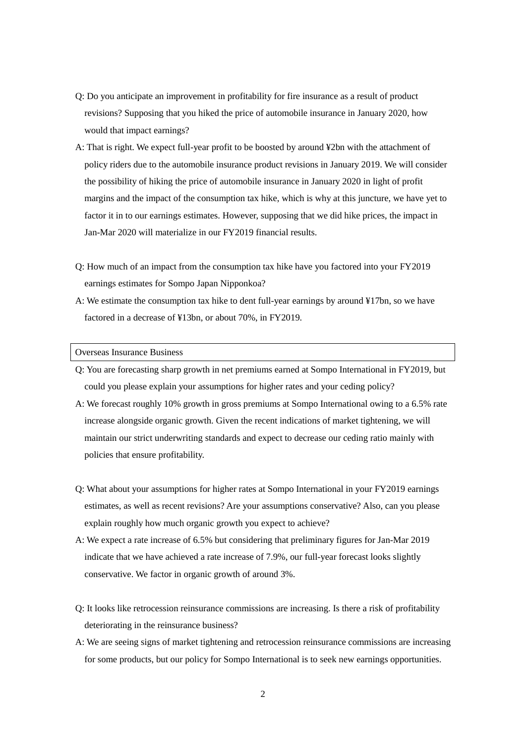- Q: Do you anticipate an improvement in profitability for fire insurance as a result of product revisions? Supposing that you hiked the price of automobile insurance in January 2020, how would that impact earnings?
- A: That is right. We expect full-year profit to be boosted by around ¥2bn with the attachment of policy riders due to the automobile insurance product revisions in January 2019. We will consider the possibility of hiking the price of automobile insurance in January 2020 in light of profit margins and the impact of the consumption tax hike, which is why at this juncture, we have yet to factor it in to our earnings estimates. However, supposing that we did hike prices, the impact in Jan-Mar 2020 will materialize in our FY2019 financial results.
- Q: How much of an impact from the consumption tax hike have you factored into your FY2019 earnings estimates for Sompo Japan Nipponkoa?
- A: We estimate the consumption tax hike to dent full-year earnings by around ¥17bn, so we have factored in a decrease of ¥13bn, or about 70%, in FY2019.

## Overseas Insurance Business

- Q: You are forecasting sharp growth in net premiums earned at Sompo International in FY2019, but could you please explain your assumptions for higher rates and your ceding policy?
- A: We forecast roughly 10% growth in gross premiums at Sompo International owing to a 6.5% rate increase alongside organic growth. Given the recent indications of market tightening, we will maintain our strict underwriting standards and expect to decrease our ceding ratio mainly with policies that ensure profitability.
- Q: What about your assumptions for higher rates at Sompo International in your FY2019 earnings estimates, as well as recent revisions? Are your assumptions conservative? Also, can you please explain roughly how much organic growth you expect to achieve?
- A: We expect a rate increase of 6.5% but considering that preliminary figures for Jan-Mar 2019 indicate that we have achieved a rate increase of 7.9%, our full-year forecast looks slightly conservative. We factor in organic growth of around 3%.
- Q: It looks like retrocession reinsurance commissions are increasing. Is there a risk of profitability deteriorating in the reinsurance business?
- A: We are seeing signs of market tightening and retrocession reinsurance commissions are increasing for some products, but our policy for Sompo International is to seek new earnings opportunities.